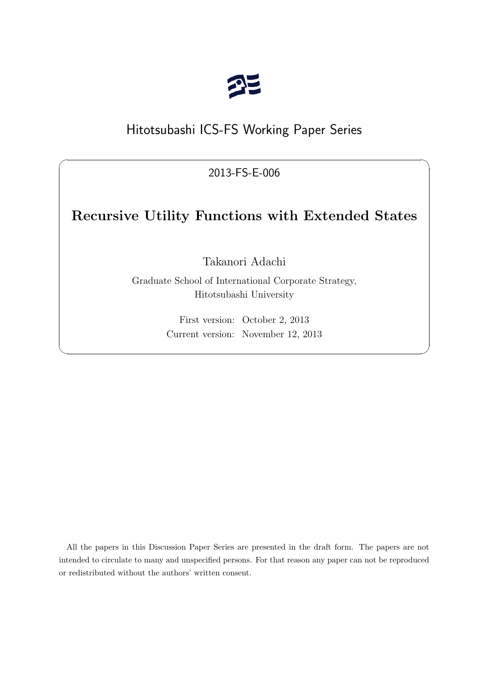

# Hitotsubashi ICS-FS Working Paper Series

2013-FS-E-006

 $\sqrt{2\pi}$ 

# **Recursive Utility Functions with Extended States**

Takanori Adachi

Graduate School of International Corporate Strategy, Hitotsubashi University

> First version: October 2, 2013 Current version: November 12, 2013

✒ ✑

All the papers in this Discussion Paper Series are presented in the draft form. The papers are not intended to circulate to many and unspecified persons. For that reason any paper can not be reproduced or redistributed without the authors' written consent.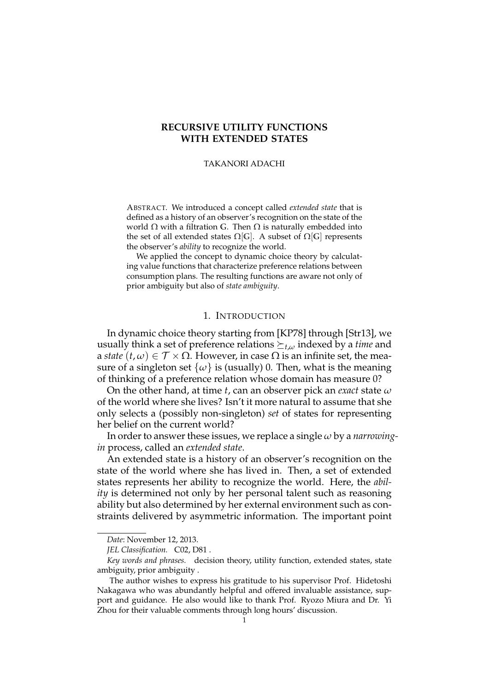## **RECURSIVE UTILITY FUNCTIONS WITH EXTENDED STATES**

#### TAKANORI ADACHI

ABSTRACT. We introduced a concept called *extended state* that is defined as a history of an observer's recognition on the state of the world  $Ω$  with a filtration  $G$ . Then  $Ω$  is naturally embedded into the set of all extended states  $Ω$ [*G*]. A subset of  $Ω$ [*G*] represents the observer's *ability* to recognize the world.

We applied the concept to dynamic choice theory by calculating value functions that characterize preference relations between consumption plans. The resulting functions are aware not only of prior ambiguity but also of *state ambiguity*.

#### 1. INTRODUCTION

In dynamic choice theory starting from [KP78] through [Str13], we usually think a set of preference relations  $\succeq_t$ , *ω* indexed by a *time* and a *state*  $(t, \omega) \in \mathcal{T} \times \Omega$ . However, in case  $\Omega$  is an infinite set, the measure of a singleton set  $\{\omega\}$  is (usually) 0. Then, what is the meaning of thinking of a preference relation whose domain has measure 0?

On the other hand, at time *t*, can an observer pick an *exact* state *ω* of the world where she lives? Isn't it more natural to assume that she only selects a (possibly non-singleton) *set* of states for representing her belief on the current world?

In order to answer these issues, we replace a single *ω* by a *narrowingin* process, called an *extended state*.

An extended state is a history of an observer's recognition on the state of the world where she has lived in. Then, a set of extended states represents her ability to recognize the world. Here, the *ability* is determined not only by her personal talent such as reasoning ability but also determined by her external environment such as constraints delivered by asymmetric information. The important point

*Date*: November 12, 2013.

*JEL Classification.* C02, D81 .

*Key words and phrases.* decision theory, utility function, extended states, state ambiguity, prior ambiguity .

The author wishes to express his gratitude to his supervisor Prof. Hidetoshi Nakagawa who was abundantly helpful and offered invaluable assistance, support and guidance. He also would like to thank Prof. Ryozo Miura and Dr. Yi Zhou for their valuable comments through long hours' discussion.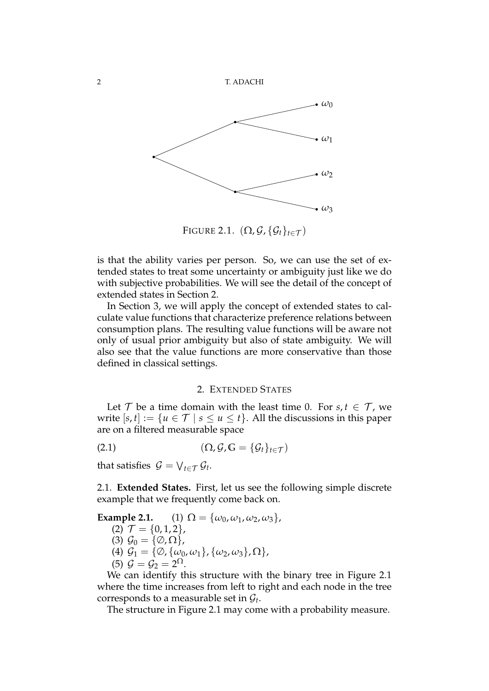

FIGURE 2.1.  $(\Omega, \mathcal{G}, \{\mathcal{G}_t\}_{t \in \mathcal{T}})$ 

is that the ability varies per person. So, we can use the set of extended states to treat some uncertainty or ambiguity just like we do with subjective probabilities. We will see the detail of the concept of extended states in Section 2.

In Section 3, we will apply the concept of extended states to calculate value functions that characterize preference relations between consumption plans. The resulting value functions will be aware not only of usual prior ambiguity but also of state ambiguity. We will also see that the value functions are more conservative than those defined in classical settings.

#### 2. EXTENDED STATES

Let  $\mathcal{T}$  be a time domain with the least time 0. For  $s, t \in \mathcal{T}$ , we write  $[s, t] := \{u \in \mathcal{T} \mid s \leq u \leq t\}$ . All the discussions in this paper are on a filtered measurable space

$$
(2.1) \qquad \qquad (\Omega, \mathcal{G}, \mathbb{G} = \{\mathcal{G}_t\}_{t \in \mathcal{T}})
$$

that satisfies  $G = \bigvee_{t \in \mathcal{T}} \mathcal{G}_t$ .

2.1. **Extended States.** First, let us see the following simple discrete example that we frequently come back on.

Example 2.1. (1) 
$$
\Omega = {\omega_0, \omega_1, \omega_2, \omega_3}
$$
,  
\n(2)  $\mathcal{T} = {0, 1, 2}$ ,  
\n(3)  $\mathcal{G}_0 = {\emptyset, \Omega}$ ,  
\n(4)  $\mathcal{G}_1 = {\emptyset, {\omega_0, \omega_1}, {\omega_2, \omega_3}, \Omega}$ ,  
\n(5)  $\mathcal{G} = \mathcal{G}_2 = 2^{\Omega}$ .

We can identify this structure with the binary tree in Figure 2.1 where the time increases from left to right and each node in the tree corresponds to a measurable set in  $\mathcal{G}_t$ .

The structure in Figure 2.1 may come with a probability measure.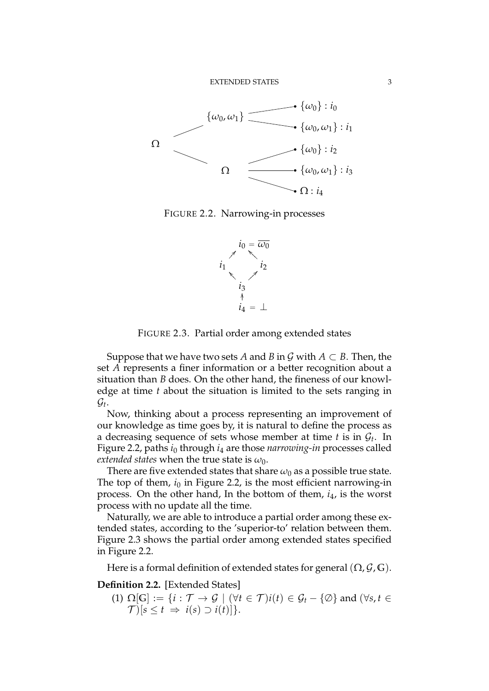

FIGURE 2.2. Narrowing-in processes



FIGURE 2.3. Partial order among extended states

Suppose that we have two sets *A* and *B* in *G* with  $A \subset B$ . Then, the set *A* represents a finer information or a better recognition about a situation than *B* does. On the other hand, the fineness of our knowledge at time *t* about the situation is limited to the sets ranging in  $\mathcal{G}_t$ .

Now, thinking about a process representing an improvement of our knowledge as time goes by, it is natural to define the process as a decreasing sequence of sets whose member at time *t* is in *G<sup>t</sup>* . In Figure 2.2, paths *i*<sup>0</sup> through *i*<sup>4</sup> are those *narrowing-in* processes called *extended states* when the true state is  $\omega_0$ .

There are five extended states that share  $\omega_0$  as a possible true state. The top of them,  $i_0$  in Figure 2.2, is the most efficient narrowing-in process. On the other hand, In the bottom of them, *i*4, is the worst process with no update all the time.

Naturally, we are able to introduce a partial order among these extended states, according to the 'superior-to' relation between them. Figure 2.3 shows the partial order among extended states specified in Figure 2.2.

Here is a formal definition of extended states for general  $(\Omega, \mathcal{G}, \mathbb{G})$ .

# **Definition 2.2.** [Extended States]

(1)  $\Omega[\mathbb{G}] := \{i : \mathcal{T} \to \mathcal{G} \mid (\forall t \in \mathcal{T}) i(t) \in \mathcal{G}_t - \{\emptyset\} \text{ and } (\forall s, t \in \mathcal{T})\}$  $\mathcal{T}$ <sup>[s  $\leq t \Rightarrow i(s) \supset i(t)$ ]<sup>2</sup>.</sup>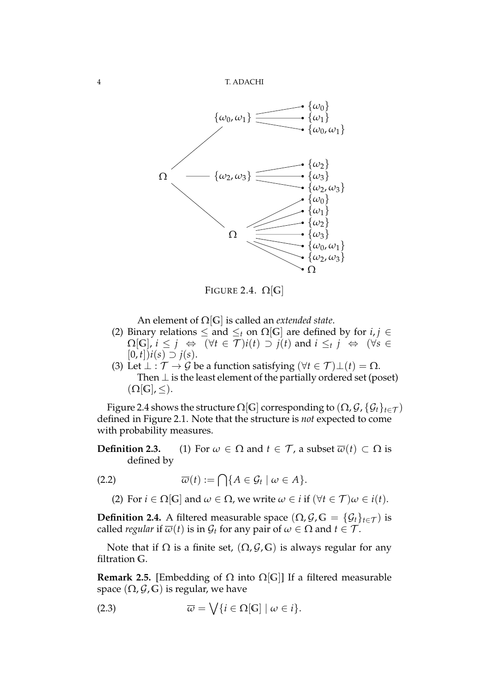4 T. ADACHI



FIGURE 2.4.  $\Omega$ [G]

An element of Ω[**G**] is called an *extended state*.

- (2) Binary relations  $\leq$  and  $\leq_t$  on  $\Omega$ [G] are defined by for *i*, *j*  $\in$  $\Omega[\mathbb{G}]$ ,  $i \leq j \Leftrightarrow (\forall t \in \mathcal{T})$  $i(t) \supset j(t)$  and  $i \leq_t j \Leftrightarrow (\forall s \in \mathcal{T})$  $[0, t]$ ) $i(s)$  ⊃  $j(s)$ .
- (3) Let  $\bot : \mathcal{T} \to \mathcal{G}$  be a function satisfying  $(\forall t \in \mathcal{T}) \bot(t) = \Omega$ . Then *⊥* is the least element of the partially ordered set (poset)  $(\Omega[\mathbb{G}], \leq).$

Figure 2.4 shows the structure  $\Omega[G]$  corresponding to  $(\Omega, \mathcal{G}, \{G_t\}_{t \in \mathcal{T}})$ defined in Figure 2.1. Note that the structure is *not* expected to come with probability measures.

**Definition 2.3.** (1) For  $\omega \in \Omega$  and  $t \in \mathcal{T}$ , a subset  $\overline{\omega}(t) \subset \Omega$  is defined by

$$
\overline{\omega}(t) := \bigcap \{ A \in \mathcal{G}_t \mid \omega \in A \}.
$$

(2) For  $i \in \Omega[\mathbb{G}]$  and  $\omega \in \Omega$ , we write  $\omega \in i$  if  $(\forall t \in \mathcal{T}) \omega \in i(t)$ .

**Definition 2.4.** A filtered measurable space  $(\Omega, \mathcal{G}, \mathbb{G}) = {\mathcal{G}_t}_{t \in \mathcal{T}}$  is called *regular* if  $\overline{\omega}(t)$  is in  $\mathcal{G}_t$  for any pair of  $\omega \in \Omega$  and  $t \in \mathcal{T}$ .

Note that if  $Ω$  is a finite set,  $(Ω, θ, Θ)$  is always regular for any filtration **G**.

**Remark 2.5.** [Embedding of  $\Omega$  into  $\Omega[G]$ ] If a filtered measurable space  $(\Omega, \mathcal{G}, \mathbb{G})$  is regular, we have

(2.3) 
$$
\overline{\omega} = \bigvee \{i \in \Omega[\mathbb{G}] \mid \omega \in i\}.
$$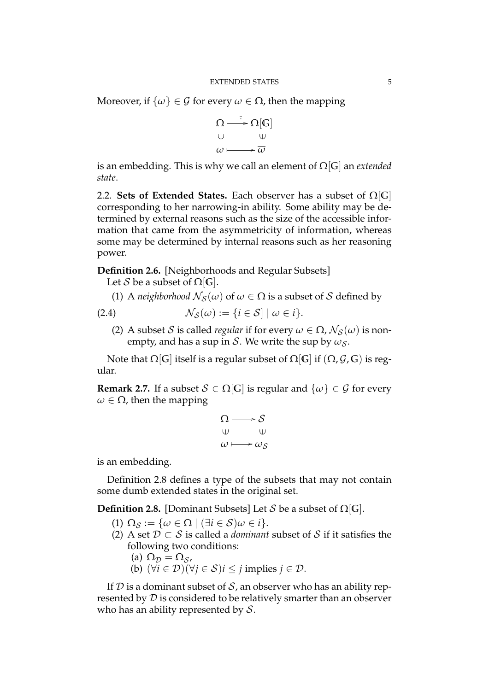Moreover, if  $\{\omega\} \in \mathcal{G}$  for every  $\omega \in \Omega$ , then the mapping

$$
\begin{array}{ccc}\n\Omega & \xrightarrow{\cdot} & \Omega[\mathbb{G}] \\
\uplus & \qquad \qquad \uplus \\
\omega & \longmapsto & \overline{\omega}\n\end{array}
$$

is an embedding. This is why we call an element of Ω[**G**] an *extended state*.

2.2. **Sets of Extended States.** Each observer has a subset of Ω[**G**] corresponding to her narrowing-in ability. Some ability may be determined by external reasons such as the size of the accessible information that came from the asymmetricity of information, whereas some may be determined by internal reasons such as her reasoning power.

**Definition 2.6.** [Neighborhoods and Regular Subsets]

Let *S* be a subset of  $\Omega$ [*G*].

(1) A *neighborhood*  $\mathcal{N}_{\mathcal{S}}(\omega)$  of  $\omega \in \Omega$  is a subset of *S* defined by

(2.4) *N<sup>S</sup>* (*ω*) := *{i ∈ S*] *| ω ∈ i}*.

(2) A subset *S* is called *regular* if for every  $\omega \in \Omega$ ,  $\mathcal{N}_{S}(\omega)$  is nonempty, and has a sup in *S*. We write the sup by  $\omega_s$ .

Note that  $Ω$ [*G*] itself is a regular subset of  $Ω$ [*G*] if ( $Ω$ *, G, G*) is regular.

**Remark 2.7.** If a subset  $S \in \Omega[G]$  is regular and  $\{\omega\} \in \mathcal{G}$  for every  $\omega \in \Omega$ , then the mapping

$$
\begin{array}{ccc}\n\Omega & \longrightarrow & \mathcal{S} \\
\updownarrow & & \updownarrow \\
\omega & \longmapsto & \omega_{\mathcal{S}}\n\end{array}
$$

is an embedding.

Definition 2.8 defines a type of the subsets that may not contain some dumb extended states in the original set.

**Definition 2.8.** [Dominant Subsets] Let *S* be a subset of Ω[**G**].

- $(1) \Omega_{\mathcal{S}} := {\omega \in \Omega \mid (\exists i \in \mathcal{S}) \omega \in i}.$
- (2) A set *D ⊂ S* is called a *dominant* subset of *S* if it satisfies the following two conditions:
	- (a)  $\Omega_{\mathcal{D}} = \Omega_{\mathcal{S}}$ ,
	- (b) (*∀i ∈ D*)(*∀j ∈ S*)*i ≤ j* implies *j ∈ D*.

If  $D$  is a dominant subset of  $S$ , an observer who has an ability represented by *D* is considered to be relatively smarter than an observer who has an ability represented by *S*.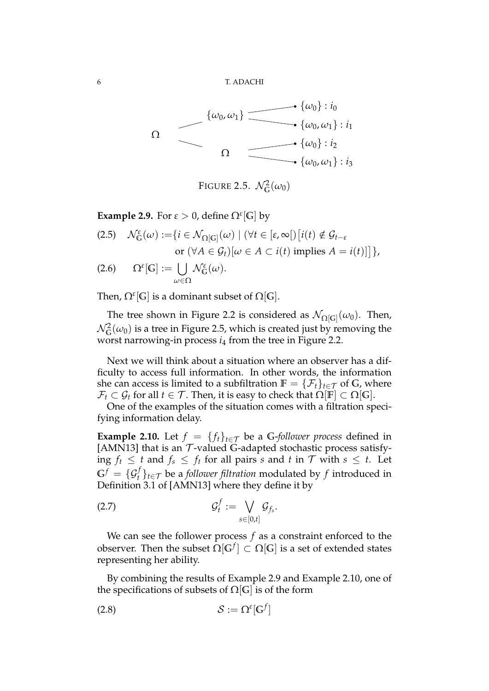

FIGURE 2.5.  $\mathcal{N}_{\mathbb{G}}^2(\omega_0)$ 

**Example 2.9.** For  $\varepsilon > 0$ , define  $\Omega^{\varepsilon}[G]$  by

(2.5) 
$$
\mathcal{N}_{G}^{\varepsilon}(\omega) := \{ i \in \mathcal{N}_{\Omega[G]}(\omega) \mid (\forall t \in [\varepsilon, \infty[)] [i(t) \notin \mathcal{G}_{t-\varepsilon} \text{ or } (\forall A \in \mathcal{G}_{t})[\omega \in A \subset i(t) \text{ implies } A = i(t)] \},\
$$
  
(2.6) 
$$
\Omega^{\varepsilon}[G] := \bigcup_{\omega \in \Omega} \mathcal{N}_{G}^{\varepsilon}(\omega).
$$

Then,  $\Omega^{\varepsilon}[\mathbb{G}]$  is a dominant subset of  $\Omega[\mathbb{G}].$ 

The tree shown in Figure 2.2 is considered as  $\mathcal{N}_{\Omega[\mathsf{G}]}(\omega_0)$ . Then,  $\mathcal{N}^2_{\mathbb{G}}(\omega_0)$  is a tree in Figure 2.5, which is created just by removing the worst narrowing-in process *i*<sup>4</sup> from the tree in Figure 2.2.

Next we will think about a situation where an observer has a difficulty to access full information. In other words, the information she can access is limited to a subfiltration  $\mathbb{F} = \{ \mathcal{F}_t \}_{t \in \mathcal{T}}$  of G, where  $\mathcal{F}_t \subset \mathcal{G}_t$  for all  $t \in \mathcal{T}$ . Then, it is easy to check that  $\Omega[\mathbb{F}] \subset \Omega[\mathbb{G}]$ .

One of the examples of the situation comes with a filtration specifying information delay.

**Example 2.10.** Let  $f = \{f_t\}_{t \in \mathcal{T}}$  be a G-follower process defined in [AMN13] that is an *T* -valued **G**-adapted stochastic process satisfying *f*<sup>*t*</sup> ≤ *t* and *f*<sup>*s*</sup> ≤ *f*<sup>*t*</sup> for all pairs *s* and *t* in *T* with *s* ≤ *t*. Let  $G^f = \{ \mathcal{G}_t^f \}_{t \in \mathcal{T}}$  be a *follower filtration* modulated by  $f$  introduced in Definition 3.1 of [AMN13] where they define it by

$$
\mathcal{G}_t^f := \bigvee_{s \in [0,t]} \mathcal{G}_{f_s}.
$$

We can see the follower process *f* as a constraint enforced to the observer. Then the subset  $\Omega[\mathbb{G}^f] \subset \Omega[\mathbb{G}]$  is a set of extended states representing her ability.

By combining the results of Example 2.9 and Example 2.10, one of the specifications of subsets of  $\Omega[G]$  is of the form

$$
(2.8) \t\t S := \Omega^{\varepsilon}[\mathbb{G}^f]
$$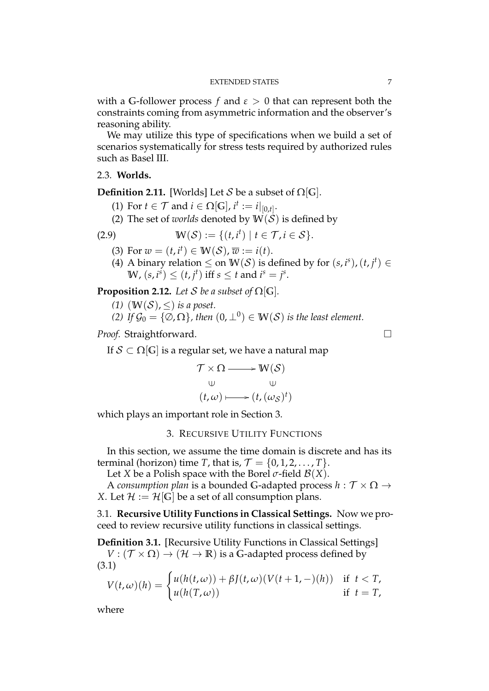with a G-follower process  $f$  and  $\varepsilon > 0$  that can represent both the constraints coming from asymmetric information and the observer's reasoning ability.

We may utilize this type of specifications when we build a set of scenarios systematically for stress tests required by authorized rules such as Basel III.

#### 2.3. **Worlds.**

**Definition 2.11.** [Worlds] Let *S* be a subset of  $\Omega$ [*G*].

- (1) For  $t \in \mathcal{T}$  and  $i \in \Omega[\mathbb{G}]$ ,  $i^t := i|_{[0,t]}$ .
- (2) The set of *worlds* denoted by  $W(S)$  is defined by

$$
(2.9) \t\t\t W(\mathcal{S}) := \{(t, i^t) \mid t \in \mathcal{T}, i \in \mathcal{S}\}.
$$

- (3) For  $w = (t, i^t) \in W(S)$ ,  $\overline{w} := i(t)$ .
- (4) A binary relation  $\leq$  on  $\mathbb{W}(\mathcal{S})$  is defined by for  $(s, i^s)$ ,  $(t, j^t) \in$ W,  $(s, i^s) \le (t, j^t)$  iff  $s \le t$  and  $i^s = j^s$ .

**Proposition 2.12.** *Let S be a subset of*  $\Omega[G]$ *.* 

- (1)  $(W(S), <)$  *is a poset.*
- *(2) If*  $\mathcal{G}_0 = \{ \emptyset, \Omega \}$ , then  $(0, \perp^0) \in \mathbb{W}(\mathcal{S})$  is the least element.

*Proof.* Straightforward. □

If  $S \subset \Omega[G]$  is a regular set, we have a natural map

$$
\mathcal{T} \times \Omega \longrightarrow W(\mathcal{S})
$$
  
\n
$$
\cup \qquad \qquad \cup
$$
  
\n
$$
(t,\omega) \longmapsto (t,(\omega_{\mathcal{S}})^t)
$$

which plays an important role in Section 3.

### 3. RECURSIVE UTILITY FUNCTIONS

In this section, we assume the time domain is discrete and has its terminal (horizon) time *T*, that is,  $\mathcal{T} = \{0, 1, 2, \ldots, T\}$ .

Let *X* be a Polish space with the Borel  $\sigma$ -field  $\mathcal{B}(X)$ .

A *consumption plan* is a bounded **G**-adapted process *h* : *T ×* Ω *→ X*. Let  $\mathcal{H} := \mathcal{H}[G]$  be a set of all consumption plans.

3.1. **Recursive Utility Functions in Classical Settings.** Now we proceed to review recursive utility functions in classical settings.

**Definition 3.1.** [Recursive Utility Functions in Classical Settings]  $V : (\mathcal{T} \times \Omega) \rightarrow (\mathcal{H} \rightarrow \mathbb{R})$  is a G-adapted process defined by (3.1)

$$
V(t,\omega)(h) = \begin{cases} u(h(t,\omega)) + \beta J(t,\omega)(V(t+1,-)(h)) & \text{if } t < T, \\ u(h(T,\omega)) & \text{if } t = T, \end{cases}
$$

where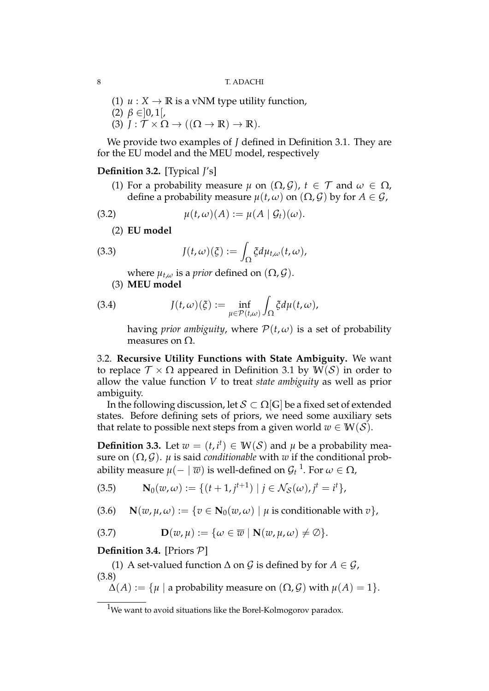(1)  $u: X \to \mathbb{R}$  is a vNM type utility function, (2) *β ∈*]0, 1[,  $(3)$   $J: \mathcal{T} \times \Omega \rightarrow ((\Omega \rightarrow \mathbb{R}) \rightarrow \mathbb{R}).$ 

We provide two examples of *J* defined in Definition 3.1. They are for the EU model and the MEU model, respectively

## **Definition 3.2.** [Typical *J*'s]

(1) For a probability measure  $\mu$  on  $(\Omega, \mathcal{G})$ ,  $t \in \mathcal{T}$  and  $\omega \in \Omega$ , define a probability measure  $\mu(t, \omega)$  on  $(\Omega, \mathcal{G})$  by for  $A \in \mathcal{G}$ ,

(3.2) 
$$
\mu(t,\omega)(A) := \mu(A \mid \mathcal{G}_t)(\omega).
$$

(2) **EU model**

(3.3) 
$$
J(t,\omega)(\xi) := \int_{\Omega} \xi d\mu_{t,\omega}(t,\omega),
$$

where  $\mu_{t,\omega}$  is a *prior* defined on  $(\Omega, \mathcal{G})$ .

(3) **MEU model**

(3.4) 
$$
J(t,\omega)(\xi) := \inf_{\mu \in \mathcal{P}(t,\omega)} \int_{\Omega} \xi d\mu(t,\omega),
$$

having *prior ambiguity*, where  $P(t, \omega)$  is a set of probability measures on  $\Omega$ .

3.2. **Recursive Utility Functions with State Ambiguity.** We want to replace  $\mathcal{T} \times \Omega$  appeared in Definition 3.1 by  $W(S)$  in order to allow the value function *V* to treat *state ambiguity* as well as prior ambiguity.

In the following discussion, let *S ⊂* Ω[**G**] be a fixed set of extended states. Before defining sets of priors, we need some auxiliary sets that relate to possible next steps from a given world  $w \in W(S)$ .

**Definition 3.3.** Let  $w = (t, i^t) \in W(S)$  and  $\mu$  be a probability measure on  $(\Omega, \mathcal{G})$ . *µ* is said *conditionable* with *w* if the conditional probability measure  $\mu(-\mid \overline{w})$  is well-defined on  $\mathcal{G}_t$  <sup>1</sup>. For  $\omega \in \Omega$ ,

(3.5) 
$$
\mathbf{N}_0(w,\omega) := \{ (t+1,j^{t+1}) \mid j \in \mathcal{N}_\mathcal{S}(\omega), j^t = i^t \},
$$

(3.6) **N**( $w, \mu, \omega$ ) := { $v \in \mathbb{N}_0(w, \omega) | \mu$  is conditionable with  $v$ },

(3.7) 
$$
\mathbf{D}(w,\mu) := \{ \omega \in \overline{w} \mid \mathbf{N}(w,\mu,\omega) \neq \emptyset \}.
$$

## **Definition 3.4.** [Priors *P*]

(1) A set-valued function  $\Delta$  on  $\mathcal G$  is defined by for  $A \in \mathcal G$ , (3.8)

 $\Delta(A) := \{ \mu \mid \alpha \text{ probability measure on } (\Omega, \mathcal{G}) \text{ with } \mu(A) = 1 \}.$ 

<sup>&</sup>lt;sup>1</sup>We want to avoid situations like the Borel-Kolmogorov paradox.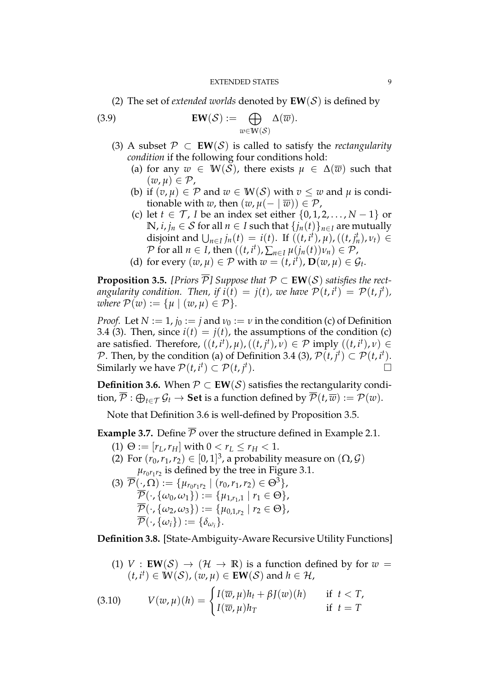(2) The set of *extended worlds* denoted by  $EW(S)$  is defined by

(3.9) 
$$
\mathbf{EW}(\mathcal{S}) := \bigoplus_{w \in \mathbf{W}(\mathcal{S})} \Delta(\overline{w}).
$$

- (3) A subset *P ⊂* **EW**(*S*) is called to satisfy the *rectangularity condition* if the following four conditions hold:
	- (a) for any  $w \in W(S)$ , there exists  $\mu \in \Delta(\overline{w})$  such that  $(w, u) \in \mathcal{P}$ ,
	- (b) if  $(v, \mu) \in \mathcal{P}$  and  $w \in W(\mathcal{S})$  with  $v \leq w$  and  $\mu$  is conditionable with *w*, then  $(w, \mu(-|\overline{w})) \in \mathcal{P}$ ,
	- (c) let *t ∈ T* , *I* be an index set either *{*0, 1, 2, . . . , *N −* 1*}* or *N*, *i*, *j*<sup>*n*</sup>  $\in$  *S* for all *n*  $\in$  *I* such that  $\{j_n(t)\}_{n \in I}$  are mutually disjoint and  $\bigcup_{n\in I} j_n(t) = i(t)$ . If  $((t, i^t), \mu), ((t, j^t_n), \nu_t) \in$  $P$  for all  $n \in I$ , then  $((t, i^t), \sum_{n \in I} \mu(j_n(t))v_n) \in P$ ,
	- (d) for every  $(w, \mu) \in \mathcal{P}$  with  $w = (t, i^t)$ ,  $\mathbf{D}(w, \mu) \in \mathcal{G}_t$ .

**Proposition 3.5.** *[Priors*  $\overline{P}$ *] Suppose that*  $P \subset EW(S)$  *satisfies the rectangularity condition. Then, if*  $i(t) = j(t)$ *, we have*  $\mathcal{P}(t, i^t) = \mathcal{P}(t, j^t)$ *, where*  $P(w) := \{ \mu \mid (w, \mu) \in P \}.$ 

*Proof.* Let  $N := 1$ ,  $j_0 := j$  and  $\nu_0 := \nu$  in the condition (c) of Definition 3.4 (3). Then, since  $i(t) = j(t)$ , the assumptions of the condition (c) are satisfied. Therefore,  $((t, i<sup>t</sup>), \mu)$ ,  $((t, j<sup>t</sup>), \nu) \in \mathcal{P}$  imply  $((t, i<sup>t</sup>), \nu) \in$ *P*. Then, by the condition (a) of Definition 3.4 (3),  $\mathcal{P}(t, j^t) \subset \mathcal{P}(t, i^t)$ . Similarly we have  $\mathcal{P}(t, i^t) \subset \mathcal{P}(t, j^t)$ ).  $\Box$ 

**Definition 3.6.** When  $P \subset EW(S)$  satisfies the rectangularity condi- $\text{tion}, \overline{P}: \bigoplus_{t \in \mathcal{T}} \mathcal{G}_t \to \textbf{Set} \text{ is a function defined by } \overline{\mathcal{P}}(t, \overline{w}) := \mathcal{P}(w).$ 

Note that Definition 3.6 is well-defined by Proposition 3.5.

**Example 3.7.** Define  $\overline{P}$  over the structure defined in Example 2.1.

- (1)  $\Theta := [r_L, r_H]$  with  $0 < r_L \le r_H < 1$ .
- (2) For  $(r_0, r_1, r_2) \in [0, 1]^3$ , a probability measure on  $(\Omega, \mathcal{G})$  $\mu_{r_0r_1r_2}$  is defined by the tree in Figure 3.1.
- $(\mathfrak{I}) \ \overline{\mathcal{P}}(\cdot, \Omega) := \{ \mu_{r_0 r_1 r_2} \mid (r_0, r_1, r_2) \in \Theta^3 \},$  $P(\cdot, {\omega_0, \omega_1}) := {\mu_{1,r_1,1} | r_1 \in \Theta},$  $\overline{P}(\cdot, \{\omega_2, \omega_3\}) := \{\mu_{0,1,r_2} \mid r_2 \in \Theta\},\$  $\overline{\mathcal{P}}(\cdot,\{\omega_i\}):=\{\delta_{\omega_i}\}.$

**Definition 3.8.** [State-Ambiguity-Aware Recursive Utility Functions]

(1) *V* : **EW**( $S$ )  $\rightarrow$  ( $H \rightarrow \mathbb{R}$ ) is a function defined by for  $w =$  $(t, i^t) \in W(S)$ ,  $(w, \mu) \in EW(S)$  and  $h \in H$ ,

(3.10) 
$$
V(w,\mu)(h) = \begin{cases} I(\overline{w},\mu)h_t + \beta J(w)(h) & \text{if } t < T, \\ I(\overline{w},\mu)h_T & \text{if } t = T \end{cases}
$$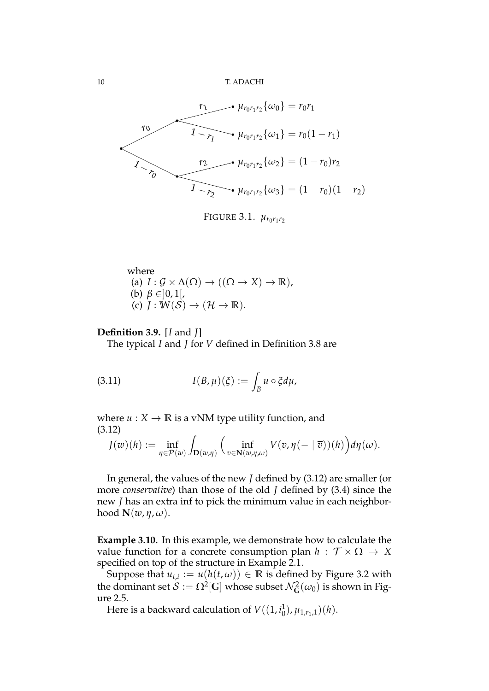10 T. ADACHI



Figure 3.1.  $\mu_{r_0r_1r_2}$ 

where  
\n(a) 
$$
I: \mathcal{G} \times \Delta(\Omega) \to ((\Omega \to X) \to \mathbb{R}),
$$
  
\n(b)  $\beta \in ]0,1[,$   
\n(c)  $J: W(S) \to (\mathcal{H} \to \mathbb{R}).$ 

#### **Definition 3.9.** [*I* and *J*]

The typical *I* and *J* for *V* defined in Definition 3.8 are

(3.11) 
$$
I(B,\mu)(\xi) := \int_B u \circ \xi d\mu,
$$

where  $u: X \to \mathbb{R}$  is a vNM type utility function, and (3.12)

$$
J(w)(h) := \inf_{\eta \in \mathcal{P}(w)} \int_{\mathbf{D}(w,\eta)} \Big( \inf_{v \in \mathbf{N}(w,\eta,\omega)} V(v,\eta(-\mid \overline{v}))(h) \Big) d\eta(\omega).
$$

In general, the values of the new *J* defined by (3.12) are smaller (or more *conservative*) than those of the old *J* defined by (3.4) since the new *J* has an extra inf to pick the minimum value in each neighborhood  $\mathbf{N}(w, \eta, \omega)$ .

**Example 3.10.** In this example, we demonstrate how to calculate the value function for a concrete consumption plan  $h : \mathcal{T} \times \Omega \rightarrow X$ specified on top of the structure in Example 2.1.

Suppose that  $u_{t,i} := u(h(t, \omega)) \in \mathbb{R}$  is defined by Figure 3.2 with the dominant set  $\mathcal{S} := \Omega^2[\mathbb{G}]$  whose subset  $\mathcal{N}_\mathbb{G}^2(\omega_0)$  is shown in Figure 2.5.

Here is a backward calculation of  $V((1, i_0^1))$  $\binom{1}{0}, \mu_{1,r_1,1}(h).$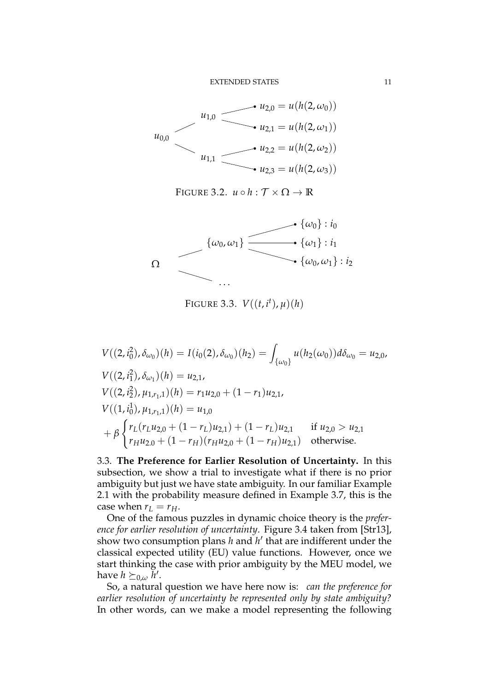

FIGURE 3.2.  $u \circ h : \mathcal{T} \times \Omega \to \mathbb{R}$ 



FIGURE 3.3.  $V((t, i^t), \mu)(h)$ 

 $V((2, i_0^2)$  $I_0^2$ ,  $\delta_{\omega_0}(h) = I(i_0(2), \delta_{\omega_0})(h_2) =$  $\int_{\{\omega_0\}} u(h_2(\omega_0))d\delta_{\omega_0} = u_{2,0}$  $V((2, i_1^2)$  $\big( \frac{2}{1} \big), \delta_{\omega_1} \big) (h) = u_{2,1},$  $V((2, i_2^2)$  $\chi^2_{1}$ ,  $\mu_{1,r_1,1}(h) = r_1u_{2,0} + (1 - r_1)u_{2,1}$  $V((1, i_0^1))$  $\mu_{1,r_1,1}(h) = u_{1,0}$ + *β*  $\int r_L(r_L u_{2,0} + (1 - r_L)u_{2,1}) + (1 - r_L)u_{2,1}$  if *u*<sub>2,0</sub> *> u*<sub>2,1</sub>  $r_H u_{2.0} + (1 - r_H)(r_H u_{2.0} + (1 - r_H)u_{2.1})$  otherwise.

3.3. **The Preference for Earlier Resolution of Uncertainty.** In this subsection, we show a trial to investigate what if there is no prior ambiguity but just we have state ambiguity. In our familiar Example 2.1 with the probability measure defined in Example 3.7, this is the case when  $r_L = r_H$ .

One of the famous puzzles in dynamic choice theory is the *preference for earlier resolution of uncertainty*. Figure 3.4 taken from [Str13], show two consumption plans *h* and *h ′* that are indifferent under the classical expected utility (EU) value functions. However, once we start thinking the case with prior ambiguity by the MEU model, we have  $h \succeq_{0,\omega} \tilde{h}'$ .

So, a natural question we have here now is: *can the preference for earlier resolution of uncertainty be represented only by state ambiguity?* In other words, can we make a model representing the following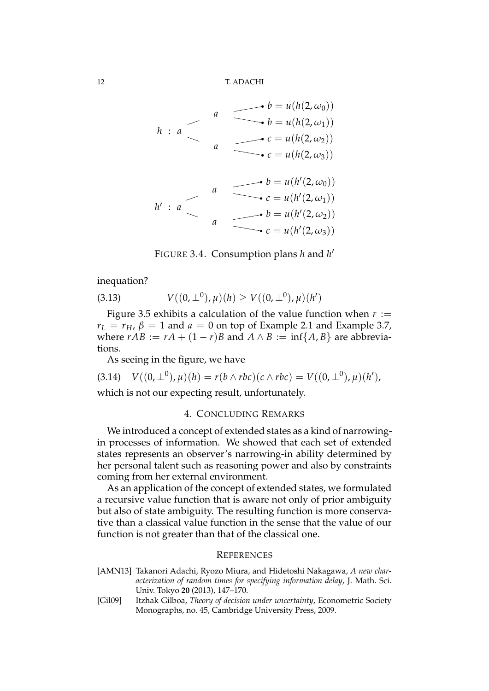12 T. ADACHI

$$
h : a
$$
\n
$$
a
$$
\n
$$
b = u(h(2, \omega_0))
$$
\n
$$
a
$$
\n
$$
c = u(h(2, \omega_2))
$$
\n
$$
c = u(h(2, \omega_3))
$$
\n
$$
b = u(h(2, \omega_3))
$$
\n
$$
c = u(h'(2, \omega_0))
$$
\n
$$
h' : a
$$
\n
$$
a
$$
\n
$$
b = u(h'(2, \omega_1))
$$
\n
$$
b = u(h'(2, \omega_2))
$$
\n
$$
c = u(h'(2, \omega_3))
$$

FIGURE 3.4. Consumption plans *h* and *h ′*

inequation?

(3.13) 
$$
V((0, \perp^0), \mu)(h) \ge V((0, \perp^0), \mu)(h')
$$

Figure 3.5 exhibits a calculation of the value function when  $r :=$  $r_L = r_H$ ,  $\beta = 1$  and  $a = 0$  on top of Example 2.1 and Example 3.7, where  $rAB := rA + (1 - r)B$  and  $A \wedge B := \inf\{A, B\}$  are abbreviations.

As seeing in the figure, we have

$$
(3.14) V((0, \perp^0), \mu)(h) = r(b \wedge rbc)(c \wedge rbc) = V((0, \perp^0), \mu)(h'),
$$

which is not our expecting result, unfortunately.

#### 4. CONCLUDING REMARKS

We introduced a concept of extended states as a kind of narrowingin processes of information. We showed that each set of extended states represents an observer's narrowing-in ability determined by her personal talent such as reasoning power and also by constraints coming from her external environment.

As an application of the concept of extended states, we formulated a recursive value function that is aware not only of prior ambiguity but also of state ambiguity. The resulting function is more conservative than a classical value function in the sense that the value of our function is not greater than that of the classical one.

#### **REFERENCES**

- [AMN13] Takanori Adachi, Ryozo Miura, and Hidetoshi Nakagawa, *A new characterization of random times for specifying information delay*, J. Math. Sci. Univ. Tokyo **20** (2013), 147–170.
- [Gil09] Itzhak Gilboa, *Theory of decision under uncertainty*, Econometric Society Monographs, no. 45, Cambridge University Press, 2009.